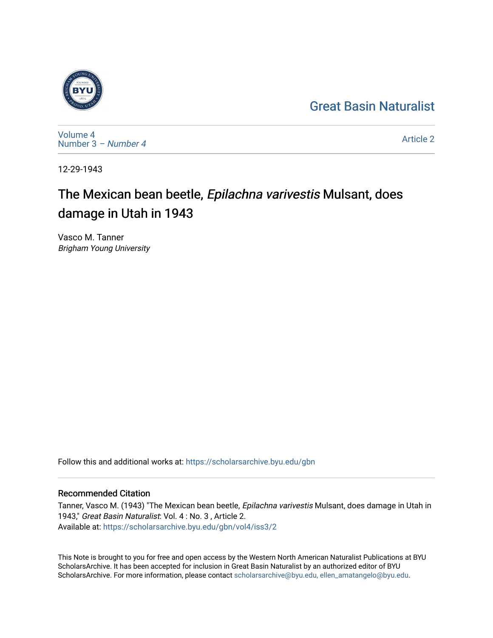## [Great Basin Naturalist](https://scholarsarchive.byu.edu/gbn)



[Volume 4](https://scholarsarchive.byu.edu/gbn/vol4) [Number 3](https://scholarsarchive.byu.edu/gbn/vol4/iss3) – Number 4

[Article 2](https://scholarsarchive.byu.edu/gbn/vol4/iss3/2) 

12-29-1943

## The Mexican bean beetle, Epilachna varivestis Mulsant, does damage in Utah in 1943

Vasco M. Tanner Brigham Young University

Follow this and additional works at: [https://scholarsarchive.byu.edu/gbn](https://scholarsarchive.byu.edu/gbn?utm_source=scholarsarchive.byu.edu%2Fgbn%2Fvol4%2Fiss3%2F2&utm_medium=PDF&utm_campaign=PDFCoverPages) 

## Recommended Citation

Tanner, Vasco M. (1943) "The Mexican bean beetle, Epilachna varivestis Mulsant, does damage in Utah in 1943," Great Basin Naturalist: Vol. 4 : No. 3 , Article 2. Available at: [https://scholarsarchive.byu.edu/gbn/vol4/iss3/2](https://scholarsarchive.byu.edu/gbn/vol4/iss3/2?utm_source=scholarsarchive.byu.edu%2Fgbn%2Fvol4%2Fiss3%2F2&utm_medium=PDF&utm_campaign=PDFCoverPages) 

This Note is brought to you for free and open access by the Western North American Naturalist Publications at BYU ScholarsArchive. It has been accepted for inclusion in Great Basin Naturalist by an authorized editor of BYU ScholarsArchive. For more information, please contact [scholarsarchive@byu.edu, ellen\\_amatangelo@byu.edu.](mailto:scholarsarchive@byu.edu,%20ellen_amatangelo@byu.edu)